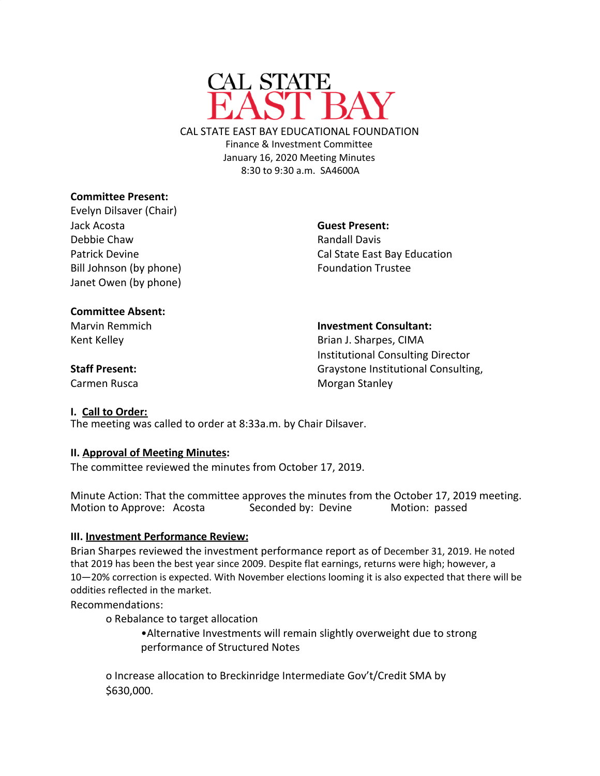

CAL STATE EAST BAY EDUCATIONAL FOUNDATION Finance & Investment Committee January 16, 2020 Meeting Minutes 8:30 to 9:30 a.m. SA4600A

## **Committee Present:**

Evelyn Dilsaver (Chair) Jack Acosta Debbie Chaw Patrick Devine Bill Johnson (by phone) Janet Owen (by phone)

**Guest Present:** Randall Davis Cal State East Bay Education Foundation Trustee

### **Committee Absent:**

Marvin Remmich Kent Kelley

**Investment Consultant:**

Brian J. Sharpes, CIMA Institutional Consulting Director Graystone Institutional Consulting, Morgan Stanley

# **Staff Present:**

Carmen Rusca

#### **I. Call to Order:**

The meeting was called to order at 8:33a.m. by Chair Dilsaver.

## **II. Approval of Meeting Minutes:**

The committee reviewed the minutes from October 17, 2019.

Minute Action: That the committee approves the minutes from the October 17, 2019 meeting. Motion to Approve: Acosta Seconded by: Devine Motion: passed

## **III. Investment Performance Review:**

Brian Sharpes reviewed the investment performance report as of December 31, 2019. He noted that 2019 has been the best year since 2009. Despite flat earnings, returns were high; however, a 10—20% correction is expected. With November elections looming it is also expected that there will be oddities reflected in the market.

Recommendations:

o Rebalance to target allocation

•Alternative Investments will remain slightly overweight due to strong performance of Structured Notes

o Increase allocation to Breckinridge Intermediate Gov't/Credit SMA by \$630,000.